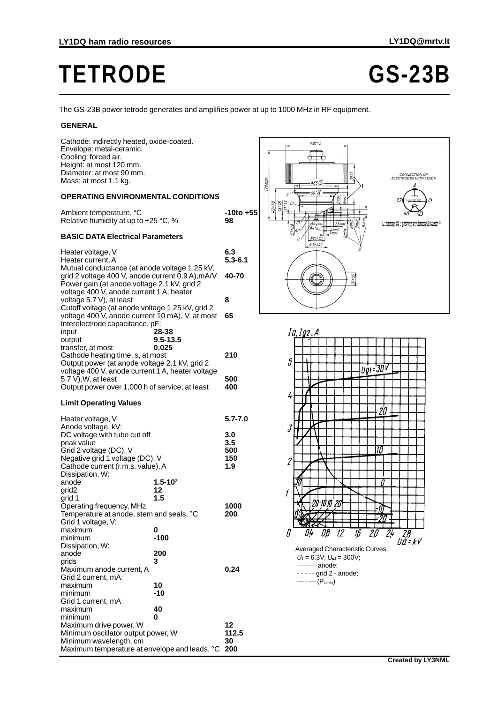## **TETRODE GS-23B**

The GS-23B power tetrode generates and amplifies power at up to 1000 MHz in RF equipment.

## **GENERAL**

| Cathode: indirectly heated, oxide-coated.<br>Envelope: metal-ceramic.<br>Cooling: forced air.<br>Height: at most 120 mm.<br>Diameter: at most 90 mm.<br>Mass: at most 1.1 kg.                                                                                                                                                                                                                                |                                |                    | $\phi$ 90 = 2<br>$120$ max<br>\$65. <sup>403</sup>              |
|--------------------------------------------------------------------------------------------------------------------------------------------------------------------------------------------------------------------------------------------------------------------------------------------------------------------------------------------------------------------------------------------------------------|--------------------------------|--------------------|-----------------------------------------------------------------|
| <b>OPERATING ENVIRONMENTAL CONDITIONS</b>                                                                                                                                                                                                                                                                                                                                                                    |                                |                    | 50*10<br>50-n5<br>$6\pi$ in<br><b>Zmax</b>                      |
| Ambient temperature, °C<br>Relative humidity at up to +25 °C, %                                                                                                                                                                                                                                                                                                                                              |                                | -10to +55<br>98    | 71:12<br>61.67<br>73:18<br>C <sub>2</sub><br>2,5 max<br>5,7±0,8 |
| <b>BASIC DATA Electrical Parameters</b>                                                                                                                                                                                                                                                                                                                                                                      |                                |                    | П                                                               |
| Heater voltage, V<br>Heater current, A<br>Mutual conductance (at anode voltage 1.25 kV,<br>grid 2 voltage 400 V, anode current 0.9 A), mA/V<br>Power gain (at anode voltage 2.1 kV, grid 2<br>voltage 400 V, anode current 1 A, heater<br>voltage 5.7 V), at least<br>Cutoff voltage (at anode voltage 1.25 kV, grid 2<br>voltage 400 V, anode current 10 mA), V, at most<br>Interelectrode capacitance, pF: |                                | 6.3<br>$5.3 - 6.1$ |                                                                 |
|                                                                                                                                                                                                                                                                                                                                                                                                              |                                | 40-70              | $\overline{\mathcal{U}^*\mathcal{V}_2}$                         |
|                                                                                                                                                                                                                                                                                                                                                                                                              |                                | 8                  |                                                                 |
|                                                                                                                                                                                                                                                                                                                                                                                                              |                                | 65                 |                                                                 |
| input<br>output<br>transfer, at most                                                                                                                                                                                                                                                                                                                                                                         | 28-38<br>$9.5 - 13.5$<br>0.025 |                    | Ia, Ig2, A                                                      |
| Cathode heating time, s, at most<br>Output power (at anode voltage 2.1 kV, grid 2<br>voltage 400 V, anode current 1 A, heater voltage<br>5.7 V), W, at least<br>Output power over 1,000 h of service, at least                                                                                                                                                                                               |                                | 210                | 5                                                               |
|                                                                                                                                                                                                                                                                                                                                                                                                              |                                | 500<br>400         |                                                                 |
| <b>Limit Operating Values</b>                                                                                                                                                                                                                                                                                                                                                                                |                                |                    | 4                                                               |
| Heater voltage, V<br>Anode voltage, kV:                                                                                                                                                                                                                                                                                                                                                                      |                                | $5.7 - 7.0$        | J                                                               |
| DC voltage with tube cut off                                                                                                                                                                                                                                                                                                                                                                                 |                                | 3.0                |                                                                 |
| peak value                                                                                                                                                                                                                                                                                                                                                                                                   |                                | 3.5                |                                                                 |
| Grid 2 voltage (DC), V<br>Negative grid 1 voltage (DC), V                                                                                                                                                                                                                                                                                                                                                    |                                | 500<br>150         |                                                                 |
| Cathode current (r.m.s. value), A                                                                                                                                                                                                                                                                                                                                                                            |                                | 1.9                | 2                                                               |
| Dissipation, W:                                                                                                                                                                                                                                                                                                                                                                                              |                                |                    |                                                                 |
| anode                                                                                                                                                                                                                                                                                                                                                                                                        | $1.5 - 103$                    |                    |                                                                 |
| grid <sub>2</sub>                                                                                                                                                                                                                                                                                                                                                                                            | 12                             |                    | 1                                                               |
| grid 1<br>Operating frequency, MHz                                                                                                                                                                                                                                                                                                                                                                           | 1.5                            | 1000               | 20 10 10 20                                                     |
| lemperature at anode, stem and seals, °C                                                                                                                                                                                                                                                                                                                                                                     |                                | 200                |                                                                 |
| Grid 1 voltage, V:                                                                                                                                                                                                                                                                                                                                                                                           |                                |                    |                                                                 |
| maximum<br>minimum                                                                                                                                                                                                                                                                                                                                                                                           | 0<br>$-100$                    |                    | 0,8<br>12<br>U4                                                 |
| Dissipation, W:                                                                                                                                                                                                                                                                                                                                                                                              |                                |                    |                                                                 |
| anode                                                                                                                                                                                                                                                                                                                                                                                                        | 200                            |                    | <b>Averaged Characterist</b>                                    |
| grids                                                                                                                                                                                                                                                                                                                                                                                                        | 3                              |                    | $U_1 = 6.3V$ ; $U_{92} = 300V$                                  |
| Maximum anode current, A<br>Grid 2 current, mA:                                                                                                                                                                                                                                                                                                                                                              |                                | 0.24               | - anode:<br>$---$ grid 2 - anode;                               |
| maximum                                                                                                                                                                                                                                                                                                                                                                                                      | 10                             |                    | $-\cdot$ - $(P_{a max})$                                        |
| minimum                                                                                                                                                                                                                                                                                                                                                                                                      | -10                            |                    |                                                                 |
| Grid 1 current, mA:                                                                                                                                                                                                                                                                                                                                                                                          |                                |                    |                                                                 |
| maximum                                                                                                                                                                                                                                                                                                                                                                                                      | 40                             |                    |                                                                 |
| minimum                                                                                                                                                                                                                                                                                                                                                                                                      | 0                              |                    |                                                                 |
| Maximum drive power, W                                                                                                                                                                                                                                                                                                                                                                                       |                                | 12                 |                                                                 |
| Minimum oscillator output power, W                                                                                                                                                                                                                                                                                                                                                                           |                                | 112.5              |                                                                 |
| Minimum wavelength, cm<br>Maximum temperature at envelope and leads, °C 200                                                                                                                                                                                                                                                                                                                                  |                                | 30                 |                                                                 |